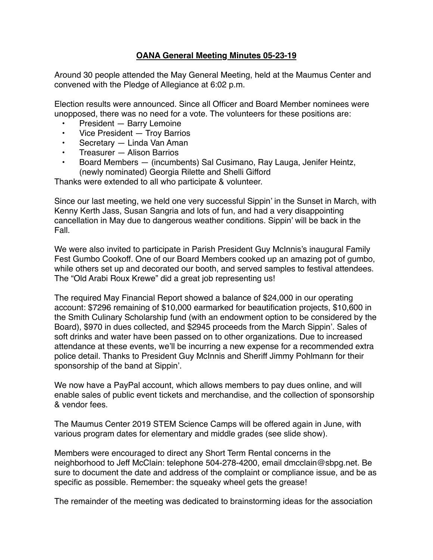## **OANA General Meeting Minutes 05-23-19**

Around 30 people attended the May General Meeting, held at the Maumus Center and convened with the Pledge of Allegiance at 6:02 p.m.

Election results were announced. Since all Officer and Board Member nominees were unopposed, there was no need for a vote. The volunteers for these positions are:

- President Barry Lemoine
- Vice President Troy Barrios
- Secretary Linda Van Aman
- Treasurer Alison Barrios
- Board Members (incumbents) Sal Cusimano, Ray Lauga, Jenifer Heintz, (newly nominated) Georgia Rilette and Shelli Gifford

Thanks were extended to all who participate & volunteer.

Since our last meeting, we held one very successful Sippin' in the Sunset in March, with Kenny Kerth Jass, Susan Sangria and lots of fun, and had a very disappointing cancellation in May due to dangerous weather conditions. Sippin' will be back in the Fall.

We were also invited to participate in Parish President Guy McInnis's inaugural Family Fest Gumbo Cookoff. One of our Board Members cooked up an amazing pot of gumbo, while others set up and decorated our booth, and served samples to festival attendees. The "Old Arabi Roux Krewe" did a great job representing us!

The required May Financial Report showed a balance of \$24,000 in our operating account: \$7296 remaining of \$10,000 earmarked for beautification projects, \$10,600 in the Smith Culinary Scholarship fund (with an endowment option to be considered by the Board), \$970 in dues collected, and \$2945 proceeds from the March Sippin'. Sales of soft drinks and water have been passed on to other organizations. Due to increased attendance at these events, we'll be incurring a new expense for a recommended extra police detail. Thanks to President Guy McInnis and Sheriff Jimmy Pohlmann for their sponsorship of the band at Sippin'.

We now have a PayPal account, which allows members to pay dues online, and will enable sales of public event tickets and merchandise, and the collection of sponsorship & vendor fees.

The Maumus Center 2019 STEM Science Camps will be offered again in June, with various program dates for elementary and middle grades (see slide show).

Members were encouraged to direct any Short Term Rental concerns in the neighborhood to Jeff McClain: telephone 504-278-4200, email dmcclain@sbpg.net. Be sure to document the date and address of the complaint or compliance issue, and be as specific as possible. Remember: the squeaky wheel gets the grease!

The remainder of the meeting was dedicated to brainstorming ideas for the association